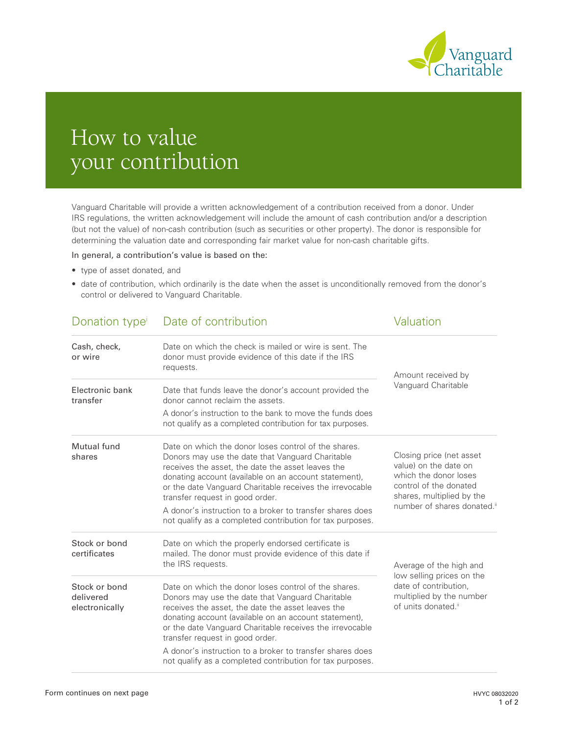

# How to value your contribution

Vanguard Charitable will provide a written acknowledgement of a contribution received from a donor. Under IRS regulations, the written acknowledgement will include the amount of cash contribution and/or a description (but not the value) of non-cash contribution (such as securities or other property). The donor is responsible for determining the valuation date and corresponding fair market value for non-cash charitable gifts.

In general, a contribution's value is based on the:

- type of asset donated, and
- date of contribution, which ordinarily is the date when the asset is unconditionally removed from the donor's control or delivered to Vanguard Charitable.

| Donation type <sup>i</sup>                   | Date of contribution                                                                                                                                                                                                                                                                                                                                                                                                                            | <b>Valuation</b>                                                                                                                                                             |
|----------------------------------------------|-------------------------------------------------------------------------------------------------------------------------------------------------------------------------------------------------------------------------------------------------------------------------------------------------------------------------------------------------------------------------------------------------------------------------------------------------|------------------------------------------------------------------------------------------------------------------------------------------------------------------------------|
| Cash, check,<br>or wire                      | Date on which the check is mailed or wire is sent. The<br>donor must provide evidence of this date if the IRS<br>requests.                                                                                                                                                                                                                                                                                                                      | Amount received by<br>Vanguard Charitable                                                                                                                                    |
| Electronic bank<br>transfer                  | Date that funds leave the donor's account provided the<br>donor cannot reclaim the assets.                                                                                                                                                                                                                                                                                                                                                      |                                                                                                                                                                              |
|                                              | A donor's instruction to the bank to move the funds does<br>not qualify as a completed contribution for tax purposes.                                                                                                                                                                                                                                                                                                                           |                                                                                                                                                                              |
| Mutual fund<br>shares                        | Date on which the donor loses control of the shares.<br>Donors may use the date that Vanguard Charitable<br>receives the asset, the date the asset leaves the<br>donating account (available on an account statement),<br>or the date Vanguard Charitable receives the irrevocable<br>transfer request in good order.<br>A donor's instruction to a broker to transfer shares does<br>not qualify as a completed contribution for tax purposes. | Closing price (net asset<br>value) on the date on<br>which the donor loses<br>control of the donated<br>shares, multiplied by the<br>number of shares donated. <sup>ii</sup> |
| Stock or bond<br>certificates                | Date on which the properly endorsed certificate is<br>mailed. The donor must provide evidence of this date if<br>the IRS requests.                                                                                                                                                                                                                                                                                                              | Average of the high and<br>low selling prices on the<br>date of contribution,<br>multiplied by the number<br>of units donated."                                              |
| Stock or bond<br>delivered<br>electronically | Date on which the donor loses control of the shares.<br>Donors may use the date that Vanguard Charitable<br>receives the asset, the date the asset leaves the<br>donating account (available on an account statement),<br>or the date Vanguard Charitable receives the irrevocable<br>transfer request in good order.                                                                                                                           |                                                                                                                                                                              |
|                                              | A donor's instruction to a broker to transfer shares does<br>not qualify as a completed contribution for tax purposes.                                                                                                                                                                                                                                                                                                                          |                                                                                                                                                                              |